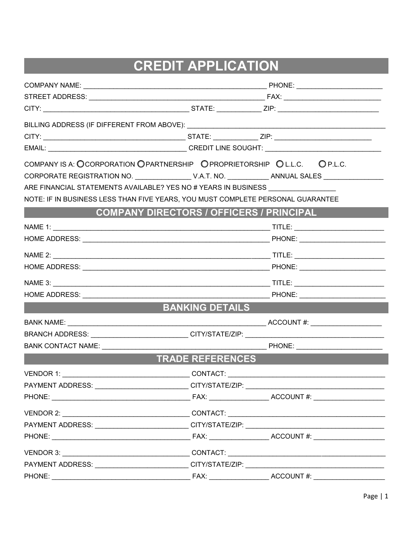# **CREDIT APPLICATION**

| COMPANY IS A: OCORPORATION OPARTNERSHIP OPROPRIETORSHIP OL.L.C. OP.L.C.           |                         |                                                 |
|-----------------------------------------------------------------------------------|-------------------------|-------------------------------------------------|
|                                                                                   |                         |                                                 |
| ARE FINANCIAL STATEMENTS AVAILABLE? YES NO # YEARS IN BUSINESS                    |                         |                                                 |
| NOTE: IF IN BUSINESS LESS THAN FIVE YEARS, YOU MUST COMPLETE PERSONAL GUARANTEE   |                         |                                                 |
|                                                                                   |                         | <b>COMPANY DIRECTORS / OFFICERS / PRINCIPAL</b> |
|                                                                                   |                         |                                                 |
|                                                                                   |                         |                                                 |
|                                                                                   |                         |                                                 |
|                                                                                   |                         |                                                 |
|                                                                                   |                         |                                                 |
|                                                                                   |                         |                                                 |
|                                                                                   | <b>BANKING DETAILS</b>  |                                                 |
| <b>BANK NAME:</b>                                                                 |                         |                                                 |
| BRANCH ADDRESS: __________________________CITY/STATE/ZIP: ______________________  |                         |                                                 |
| <b>BANK CONTACT NAME:</b>                                                         |                         |                                                 |
|                                                                                   | <b>TRADE REFERENCES</b> |                                                 |
|                                                                                   |                         |                                                 |
| PAYMENT ADDRESS: _________________________CITY/STATE/ZIP: _______________________ |                         |                                                 |
|                                                                                   |                         |                                                 |
|                                                                                   |                         |                                                 |
| PAYMENT ADDRESS: __________________________CITY/STATE/ZIP: ______________________ |                         |                                                 |
|                                                                                   |                         |                                                 |
|                                                                                   |                         |                                                 |
| PAYMENT ADDRESS: _________________________CITY/STATE/ZIP: _______________________ |                         |                                                 |
|                                                                                   |                         |                                                 |